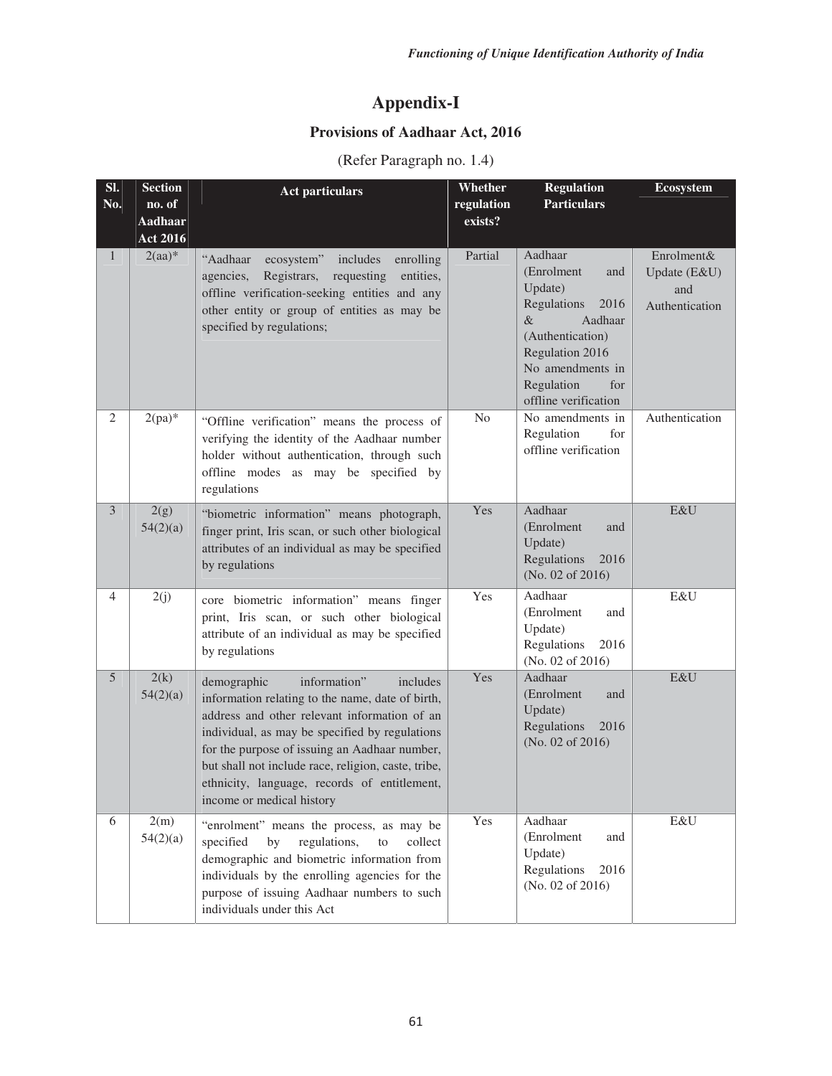## **Appendix-I**

## **Provisions of Aadhaar Act, 2016**

(Refer Paragraph no. 1.4)

| SI.            | <b>Section</b>           | <b>Act particulars</b>                                                                                                                                                                                                                                                                                                                                                             | Whether               | <b>Regulation</b>                                                                                                                                                                      | <b>Ecosystem</b>                                    |
|----------------|--------------------------|------------------------------------------------------------------------------------------------------------------------------------------------------------------------------------------------------------------------------------------------------------------------------------------------------------------------------------------------------------------------------------|-----------------------|----------------------------------------------------------------------------------------------------------------------------------------------------------------------------------------|-----------------------------------------------------|
| No.            | no. of<br><b>Aadhaar</b> |                                                                                                                                                                                                                                                                                                                                                                                    | regulation<br>exists? | <b>Particulars</b>                                                                                                                                                                     |                                                     |
|                | <b>Act 2016</b>          |                                                                                                                                                                                                                                                                                                                                                                                    |                       |                                                                                                                                                                                        |                                                     |
| $\mathbf{1}$   | $2(aa)^*$                | "Aadhaar<br>ecosystem"<br>includes<br>enrolling<br>Registrars,<br>requesting<br>agencies,<br>entities,<br>offline verification-seeking entities and any<br>other entity or group of entities as may be<br>specified by regulations;                                                                                                                                                | Partial               | Aadhaar<br>(Enrolment<br>and<br>Update)<br>Regulations<br>2016<br>Aadhaar<br>&<br>(Authentication)<br>Regulation 2016<br>No amendments in<br>Regulation<br>for<br>offline verification | Enrolment&<br>Update (E&U)<br>and<br>Authentication |
| $\overline{2}$ | $2(pa)*$                 | "Offline verification" means the process of<br>verifying the identity of the Aadhaar number<br>holder without authentication, through such<br>offline modes as may be specified by<br>regulations                                                                                                                                                                                  | N <sub>o</sub>        | No amendments in<br>for<br>Regulation<br>offline verification                                                                                                                          | Authentication                                      |
| $\overline{3}$ | 2(g)<br>54(2)(a)         | "biometric information" means photograph,<br>finger print, Iris scan, or such other biological<br>attributes of an individual as may be specified<br>by regulations                                                                                                                                                                                                                | Yes                   | Aadhaar<br>(Enrolment<br>and<br>Update)<br>Regulations<br>2016<br>(No. 02 of 2016)                                                                                                     | E&U                                                 |
| 4              | 2(j)                     | core biometric information" means finger<br>print, Iris scan, or such other biological<br>attribute of an individual as may be specified<br>by regulations                                                                                                                                                                                                                         | Yes                   | Aadhaar<br>(Enrolment<br>and<br>Update)<br>Regulations<br>2016<br>(No. 02 of 2016)                                                                                                     | E&U                                                 |
| 5              | 2(k)<br>54(2)(a)         | information"<br>demographic<br>includes<br>information relating to the name, date of birth,<br>address and other relevant information of an<br>individual, as may be specified by regulations<br>for the purpose of issuing an Aadhaar number,<br>but shall not include race, religion, caste, tribe,<br>ethnicity, language, records of entitlement,<br>income or medical history | Yes                   | Aadhaar<br>(Enrolment<br>and<br>Update)<br>Regulations<br>2016<br>(No. 02 of 2016)                                                                                                     | E&U                                                 |
| 6              | 2(m)<br>54(2)(a)         | "enrolment" means the process, as may be<br>specified<br>regulations,<br>by<br>${\rm to}$<br>collect<br>demographic and biometric information from<br>individuals by the enrolling agencies for the<br>purpose of issuing Aadhaar numbers to such<br>individuals under this Act                                                                                                    | Yes                   | Aadhaar<br>(Enrolment<br>and<br>Update)<br>Regulations<br>2016<br>(No. 02 of 2016)                                                                                                     | $E\&U$                                              |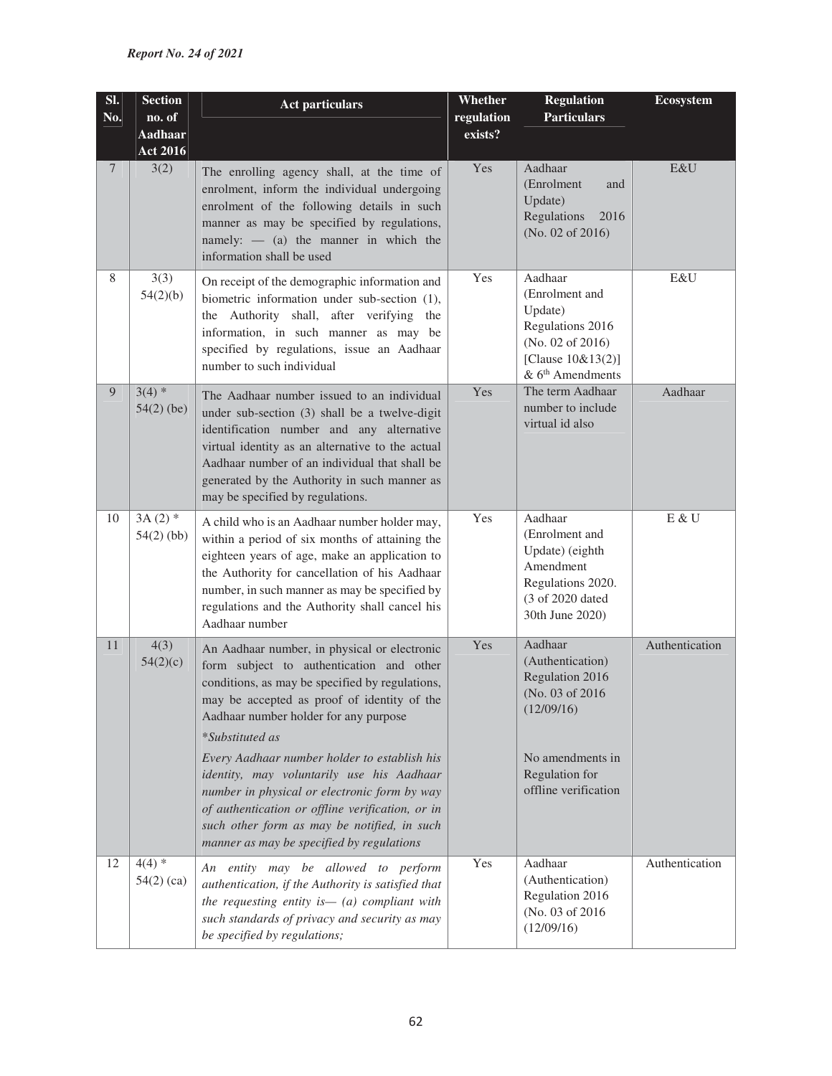| SI.            | <b>Section</b>            | <b>Act particulars</b>                                                                                                                                                                                                                                                                                                                                                                                                                                         | Whether    | <b>Regulation</b>                                                                                                                              | <b>Ecosystem</b> |
|----------------|---------------------------|----------------------------------------------------------------------------------------------------------------------------------------------------------------------------------------------------------------------------------------------------------------------------------------------------------------------------------------------------------------------------------------------------------------------------------------------------------------|------------|------------------------------------------------------------------------------------------------------------------------------------------------|------------------|
| No.            | no. of                    |                                                                                                                                                                                                                                                                                                                                                                                                                                                                | regulation | <b>Particulars</b>                                                                                                                             |                  |
|                | Aadhaar                   |                                                                                                                                                                                                                                                                                                                                                                                                                                                                | exists?    |                                                                                                                                                |                  |
| $\overline{7}$ | <b>Act 2016</b><br>3(2)   | The enrolling agency shall, at the time of<br>enrolment, inform the individual undergoing<br>enrolment of the following details in such<br>manner as may be specified by regulations,<br>namely: $-$ (a) the manner in which the<br>information shall be used                                                                                                                                                                                                  | Yes        | Aadhaar<br>(Enrolment<br>and<br>Update)<br>Regulations<br>2016<br>(No. 02 of 2016)                                                             | E&U              |
| 8              | 3(3)<br>54(2)(b)          | On receipt of the demographic information and<br>biometric information under sub-section (1),<br>the Authority shall, after verifying the<br>information, in such manner as may be<br>specified by regulations, issue an Aadhaar<br>number to such individual                                                                                                                                                                                                  | Yes        | Aadhaar<br>(Enrolment and<br>Update)<br>Regulations 2016<br>(No. 02 of 2016)<br>[Clause 10&13(2)]<br>$& 6th$ Amendments                        | E&U              |
| 9              | $3(4)$ *<br>$54(2)$ (be)  | The Aadhaar number issued to an individual<br>under sub-section (3) shall be a twelve-digit<br>identification number and any alternative<br>virtual identity as an alternative to the actual<br>Aadhaar number of an individual that shall be<br>generated by the Authority in such manner as<br>may be specified by regulations.                                                                                                                              | Yes        | The term Aadhaar<br>number to include<br>virtual id also                                                                                       | Aadhaar          |
| 10             | $3A(2)$ *<br>$54(2)$ (bb) | A child who is an Aadhaar number holder may,<br>within a period of six months of attaining the<br>eighteen years of age, make an application to<br>the Authority for cancellation of his Aadhaar<br>number, in such manner as may be specified by<br>regulations and the Authority shall cancel his<br>Aadhaar number                                                                                                                                          | Yes        | Aadhaar<br>(Enrolment and<br>Update) (eighth<br>Amendment<br>Regulations 2020.<br>(3 of 2020 dated<br>30th June 2020)                          | E & U            |
| 11             | 4(3)<br>54(2)(c)          | An Aadhaar number, in physical or electronic<br>form subject to authentication and other<br>conditions, as may be specified by regulations,<br>may be accepted as proof of identity of the<br>Aadhaar number holder for any purpose<br><i>*Substituted as</i><br>Every Aadhaar number holder to establish his<br>identity, may voluntarily use his Aadhaar<br>number in physical or electronic form by way<br>of authentication or offline verification, or in | Yes        | Aadhaar<br>(Authentication)<br>Regulation 2016<br>(No. 03 of 2016)<br>(12/09/16)<br>No amendments in<br>Regulation for<br>offline verification | Authentication   |
| 12             | $4(4)$ *                  | such other form as may be notified, in such<br>manner as may be specified by regulations                                                                                                                                                                                                                                                                                                                                                                       | Yes        | Aadhaar                                                                                                                                        | Authentication   |
|                | $54(2)$ (ca)              | An entity may be allowed to perform<br>authentication, if the Authority is satisfied that<br>the requesting entity is $-$ (a) compliant with<br>such standards of privacy and security as may<br>be specified by regulations;                                                                                                                                                                                                                                  |            | (Authentication)<br>Regulation 2016<br>(No. 03 of 2016)<br>(12/09/16)                                                                          |                  |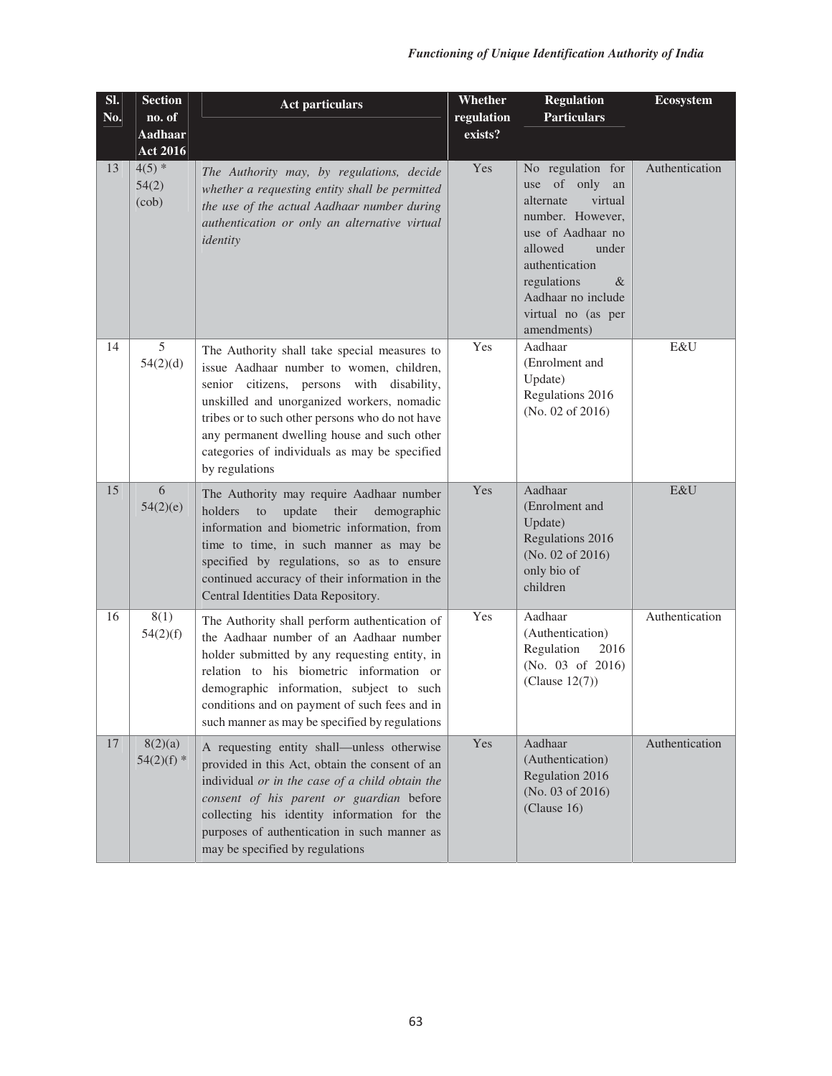| Sl.<br>No. | <b>Section</b><br>no. of   | <b>Act particulars</b>                                                                                                                                                                                                                                                                                                                                   | Whether<br>regulation | <b>Regulation</b><br><b>Particulars</b>                                                                                                                                                                                         | <b>Ecosystem</b> |
|------------|----------------------------|----------------------------------------------------------------------------------------------------------------------------------------------------------------------------------------------------------------------------------------------------------------------------------------------------------------------------------------------------------|-----------------------|---------------------------------------------------------------------------------------------------------------------------------------------------------------------------------------------------------------------------------|------------------|
|            | Aadhaar<br><b>Act 2016</b> |                                                                                                                                                                                                                                                                                                                                                          | exists?               |                                                                                                                                                                                                                                 |                  |
| 13         | $4(5)$ *<br>54(2)<br>(cob) | The Authority may, by regulations, decide<br>whether a requesting entity shall be permitted<br>the use of the actual Aadhaar number during<br>authentication or only an alternative virtual<br>identity                                                                                                                                                  | Yes                   | No regulation for<br>of only<br>use<br>an<br>alternate<br>virtual<br>number. However,<br>use of Aadhaar no<br>allowed<br>under<br>authentication<br>regulations<br>&<br>Aadhaar no include<br>virtual no (as per<br>amendments) | Authentication   |
| 14         | 5<br>54(2)(d)              | The Authority shall take special measures to<br>issue Aadhaar number to women, children,<br>senior citizens, persons with disability,<br>unskilled and unorganized workers, nomadic<br>tribes or to such other persons who do not have<br>any permanent dwelling house and such other<br>categories of individuals as may be specified<br>by regulations | Yes                   | Aadhaar<br>(Enrolment and<br>Update)<br>Regulations 2016<br>(No. 02 of 2016)                                                                                                                                                    | E&U              |
| 15         | 6<br>54(2)(e)              | The Authority may require Aadhaar number<br>holders<br>update<br>their<br>demographic<br>to<br>information and biometric information, from<br>time to time, in such manner as may be<br>specified by regulations, so as to ensure<br>continued accuracy of their information in the<br>Central Identities Data Repository.                               | Yes                   | Aadhaar<br>(Enrolment and<br>Update)<br>Regulations 2016<br>(No. 02 of 2016)<br>only bio of<br>children                                                                                                                         | E&U              |
| 16         | 8(1)<br>54(2)(f)           | The Authority shall perform authentication of<br>the Aadhaar number of an Aadhaar number<br>holder submitted by any requesting entity, in<br>relation to his biometric information or<br>demographic information, subject to such<br>conditions and on payment of such fees and in<br>such manner as may be specified by regulations                     | Yes                   | Aadhaar<br>(Authentication)<br>Regulation<br>2016<br>(No. 03 of 2016)<br>(Clause 12(7))                                                                                                                                         | Authentication   |
| 17         | 8(2)(a)<br>$54(2)(f)$ *    | A requesting entity shall-unless otherwise<br>provided in this Act, obtain the consent of an<br>individual or in the case of a child obtain the<br>consent of his parent or guardian before<br>collecting his identity information for the<br>purposes of authentication in such manner as<br>may be specified by regulations                            | Yes                   | Aadhaar<br>(Authentication)<br>Regulation 2016<br>(No. 03 of 2016)<br>(Clause 16)                                                                                                                                               | Authentication   |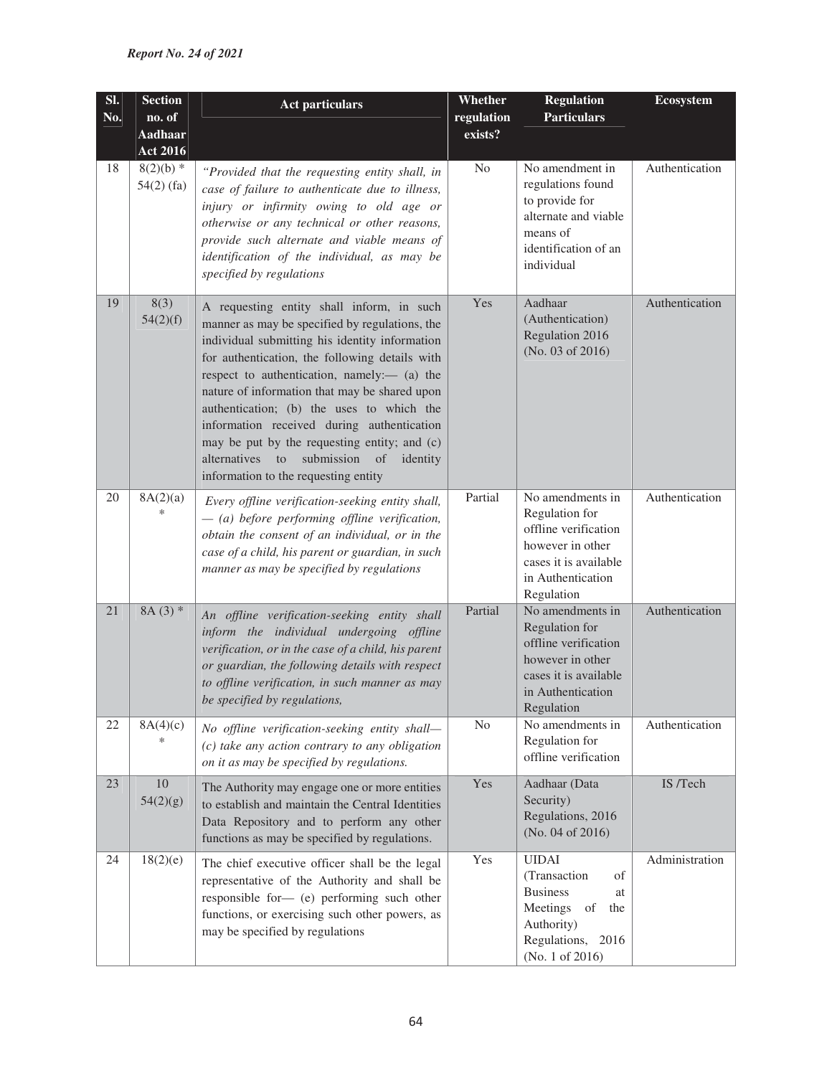| SI.<br>No. | <b>Section</b><br>no. of    | <b>Act particulars</b>                                                                                                                                                                                                                                                                                                                                                                                                                                                                                                             | Whether<br>regulation | <b>Regulation</b><br><b>Particulars</b>                                                                                                    | <b>Ecosystem</b> |
|------------|-----------------------------|------------------------------------------------------------------------------------------------------------------------------------------------------------------------------------------------------------------------------------------------------------------------------------------------------------------------------------------------------------------------------------------------------------------------------------------------------------------------------------------------------------------------------------|-----------------------|--------------------------------------------------------------------------------------------------------------------------------------------|------------------|
|            | Aadhaar<br><b>Act 2016</b>  |                                                                                                                                                                                                                                                                                                                                                                                                                                                                                                                                    | exists?               |                                                                                                                                            |                  |
| 18         | $8(2)(b)$ *<br>$54(2)$ (fa) | "Provided that the requesting entity shall, in<br>case of failure to authenticate due to illness,<br>injury or infirmity owing to old age or<br>otherwise or any technical or other reasons,<br>provide such alternate and viable means of<br>identification of the individual, as may be<br>specified by regulations                                                                                                                                                                                                              | No                    | No amendment in<br>regulations found<br>to provide for<br>alternate and viable<br>means of<br>identification of an<br>individual           | Authentication   |
| 19         | 8(3)<br>54(2)(f)            | A requesting entity shall inform, in such<br>manner as may be specified by regulations, the<br>individual submitting his identity information<br>for authentication, the following details with<br>respect to authentication, namely:— (a) the<br>nature of information that may be shared upon<br>authentication; (b) the uses to which the<br>information received during authentication<br>may be put by the requesting entity; and (c)<br>alternatives to<br>submission of<br>identity<br>information to the requesting entity | Yes                   | Aadhaar<br>(Authentication)<br>Regulation 2016<br>(No. 03 of 2016)                                                                         | Authentication   |
| 20         | 8A(2)(a)<br>$\ast$          | Every offline verification-seeking entity shall,<br>$-$ (a) before performing offline verification,<br>obtain the consent of an individual, or in the<br>case of a child, his parent or guardian, in such<br>manner as may be specified by regulations                                                                                                                                                                                                                                                                             | Partial               | No amendments in<br>Regulation for<br>offline verification<br>however in other<br>cases it is available<br>in Authentication<br>Regulation | Authentication   |
| 21         | $8A(3)$ *                   | An offline verification-seeking entity shall<br>inform the individual undergoing offline<br>verification, or in the case of a child, his parent<br>or guardian, the following details with respect<br>to offline verification, in such manner as may<br>be specified by regulations,                                                                                                                                                                                                                                               | Partial               | No amendments in<br>Regulation for<br>offline verification<br>however in other<br>cases it is available<br>in Authentication<br>Regulation | Authentication   |
| 22         | 8A(4)(c)<br>$\ast$          | No offline verification-seeking entity shall-<br>$(c)$ take any action contrary to any obligation<br>on it as may be specified by regulations.                                                                                                                                                                                                                                                                                                                                                                                     | N <sub>o</sub>        | No amendments in<br>Regulation for<br>offline verification                                                                                 | Authentication   |
| 23         | 10<br>54(2)(g)              | The Authority may engage one or more entities<br>to establish and maintain the Central Identities<br>Data Repository and to perform any other<br>functions as may be specified by regulations.                                                                                                                                                                                                                                                                                                                                     | Yes                   | Aadhaar (Data<br>Security)<br>Regulations, 2016<br>(No. 04 of 2016)                                                                        | IS /Tech         |
| 24         | 18(2)(e)                    | The chief executive officer shall be the legal<br>representative of the Authority and shall be<br>responsible for- (e) performing such other<br>functions, or exercising such other powers, as<br>may be specified by regulations                                                                                                                                                                                                                                                                                                  | Yes                   | <b>UIDAI</b><br>(Transaction<br>of<br><b>Business</b><br>at<br>Meetings<br>of<br>the<br>Authority)<br>Regulations, 2016<br>(No. 1 of 2016) | Administration   |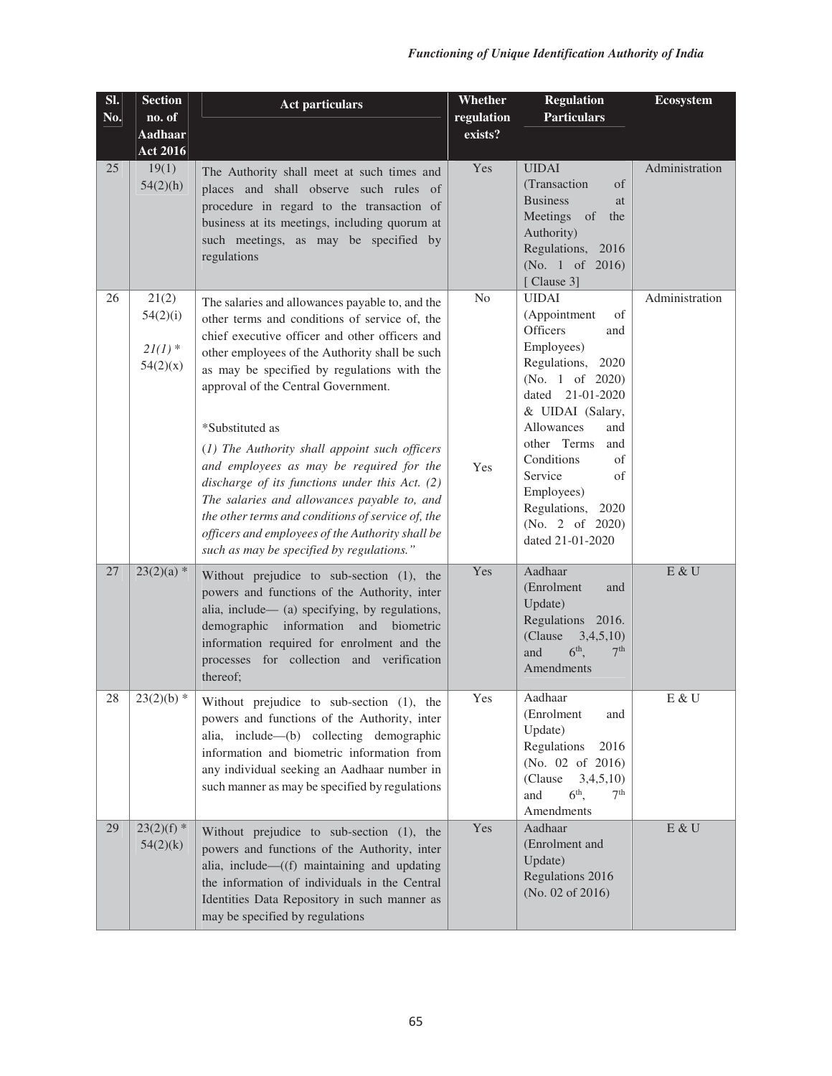| SI. | <b>Section</b>                             | <b>Act particulars</b>                                                                                                                                                                                                                                                                                                                                                | Whether    | <b>Regulation</b>                                                                                                                                             | <b>Ecosystem</b>        |
|-----|--------------------------------------------|-----------------------------------------------------------------------------------------------------------------------------------------------------------------------------------------------------------------------------------------------------------------------------------------------------------------------------------------------------------------------|------------|---------------------------------------------------------------------------------------------------------------------------------------------------------------|-------------------------|
| No. | no. of                                     |                                                                                                                                                                                                                                                                                                                                                                       | regulation | <b>Particulars</b>                                                                                                                                            |                         |
|     | <b>Aadhaar</b>                             |                                                                                                                                                                                                                                                                                                                                                                       | exists?    |                                                                                                                                                               |                         |
|     | <b>Act 2016</b>                            |                                                                                                                                                                                                                                                                                                                                                                       |            |                                                                                                                                                               |                         |
| 25  | 19(1)<br>54(2)(h)                          | The Authority shall meet at such times and<br>places and shall observe such rules of<br>procedure in regard to the transaction of<br>business at its meetings, including quorum at<br>such meetings, as may be specified by<br>regulations                                                                                                                            | Yes        | <b>UIDAI</b><br>(Transaction<br>of<br><b>Business</b><br>at<br>Meetings of<br>the<br>Authority)<br>Regulations, 2016<br>(No. 1 of 2016)<br>[Clause 3]         | Administration          |
| 26  | 21(2)<br>54(2)(i)<br>$2I(1)$ *<br>54(2)(x) | The salaries and allowances payable to, and the<br>other terms and conditions of service of, the<br>chief executive officer and other officers and<br>other employees of the Authority shall be such<br>as may be specified by regulations with the<br>approval of the Central Government.                                                                            | No         | <b>UIDAI</b><br>(Appointment<br>of<br><b>Officers</b><br>and<br>Employees)<br>Regulations, 2020<br>(No. 1 of $2020$ )<br>dated 21-01-2020<br>& UIDAI (Salary, | Administration          |
|     |                                            | *Substituted as<br>(1) The Authority shall appoint such officers<br>and employees as may be required for the<br>discharge of its functions under this Act. $(2)$<br>The salaries and allowances payable to, and<br>the other terms and conditions of service of, the<br>officers and employees of the Authority shall be<br>such as may be specified by regulations." | Yes        | Allowances<br>and<br>other Terms<br>and<br>Conditions<br>of<br>Service<br>of<br>Employees)<br>Regulations, 2020<br>(No. 2 of 2020)<br>dated 21-01-2020        |                         |
| 27  | $23(2)(a)$ *                               | Without prejudice to sub-section (1), the<br>powers and functions of the Authority, inter<br>alia, include— (a) specifying, by regulations,<br>demographic information and biometric<br>information required for enrolment and the<br>processes for collection and verification<br>thereof;                                                                           | Yes        | Aadhaar<br>(Enrolment<br>and<br>Update)<br>Regulations 2016.<br>(Clause<br>3,4,5,10<br>$6th$ ,<br>7 <sup>th</sup><br>and<br>Amendments                        | E & U                   |
| 28  | $23(2)(b)$ *                               | Without prejudice to sub-section (1), the<br>powers and functions of the Authority, inter<br>alia, include—(b) collecting demographic<br>information and biometric information from<br>any individual seeking an Aadhaar number in<br>such manner as may be specified by regulations                                                                                  | Yes        | Aadhaar<br>(Enrolment<br>and<br>Update)<br>Regulations<br>2016<br>(No. 02 of 2016)<br>(Clause<br>3,4,5,10<br>$6th$ ,<br>7 <sup>th</sup><br>and<br>Amendments  | $\mbox{E}$ & $\mbox{U}$ |
| 29  | $23(2)(f)$ *<br>54(2)(k)                   | Without prejudice to sub-section (1), the<br>powers and functions of the Authority, inter<br>alia, include—((f) maintaining and updating<br>the information of individuals in the Central<br>Identities Data Repository in such manner as<br>may be specified by regulations                                                                                          | Yes        | Aadhaar<br>(Enrolment and<br>Update)<br>Regulations 2016<br>(No. 02 of 2016)                                                                                  | $E \& U$                |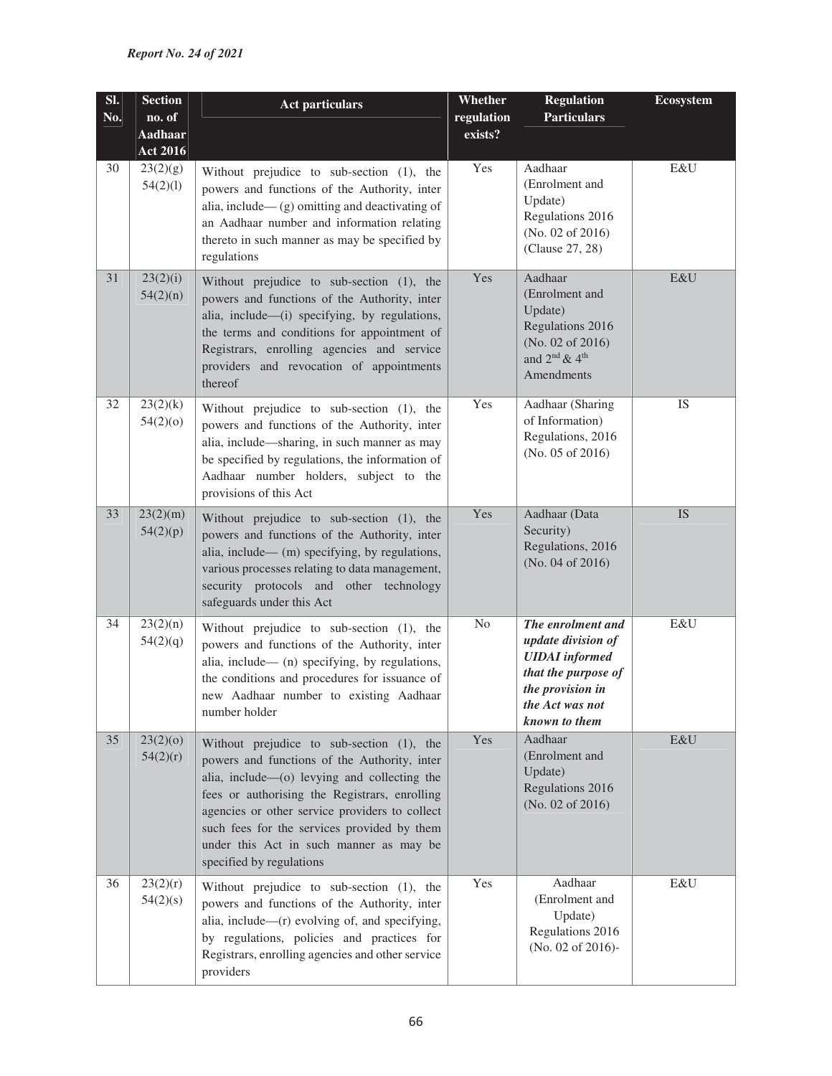| SI.<br>No. | <b>Section</b><br>no. of<br><b>Aadhaar</b><br><b>Act 2016</b> | <b>Act particulars</b>                                                                                                                                                                                                                                                                                                                                             | Whether<br>regulation<br>exists? | <b>Regulation</b><br><b>Particulars</b>                                                                                                         | <b>Ecosystem</b> |
|------------|---------------------------------------------------------------|--------------------------------------------------------------------------------------------------------------------------------------------------------------------------------------------------------------------------------------------------------------------------------------------------------------------------------------------------------------------|----------------------------------|-------------------------------------------------------------------------------------------------------------------------------------------------|------------------|
| 30         | 23(2)(g)<br>54(2)(1)                                          | Without prejudice to sub-section (1), the<br>powers and functions of the Authority, inter<br>alia, include— $(g)$ omitting and deactivating of<br>an Aadhaar number and information relating<br>thereto in such manner as may be specified by<br>regulations                                                                                                       | Yes                              | Aadhaar<br>(Enrolment and<br>Update)<br>Regulations 2016<br>(No. 02 of $2016$ )<br>(Clause 27, 28)                                              | E&U              |
| 31         | 23(2)(i)<br>54(2)(n)                                          | Without prejudice to sub-section (1), the<br>powers and functions of the Authority, inter<br>alia, include—(i) specifying, by regulations,<br>the terms and conditions for appointment of<br>Registrars, enrolling agencies and service<br>providers and revocation of appointments<br>thereof                                                                     | Yes                              | Aadhaar<br>(Enrolment and<br>Update)<br>Regulations 2016<br>(No. 02 of 2016)<br>and $2^{\text{nd}}$ & 4 <sup>th</sup><br>Amendments             | E&U              |
| 32         | 23(2)(k)<br>54(2)(0)                                          | Without prejudice to sub-section (1), the<br>powers and functions of the Authority, inter<br>alia, include—sharing, in such manner as may<br>be specified by regulations, the information of<br>Aadhaar number holders, subject to the<br>provisions of this Act                                                                                                   | Yes                              | Aadhaar (Sharing<br>of Information)<br>Regulations, 2016<br>(No. 05 of 2016)                                                                    | IS               |
| 33         | 23(2)(m)<br>54(2)(p)                                          | Without prejudice to sub-section (1), the<br>powers and functions of the Authority, inter<br>alia, include— (m) specifying, by regulations,<br>various processes relating to data management,<br>security protocols and other technology<br>safeguards under this Act                                                                                              | Yes                              | Aadhaar (Data<br>Security)<br>Regulations, 2016<br>(No. 04 of 2016)                                                                             | <b>IS</b>        |
| 34         | 23(2)(n)<br>54(2)(q)                                          | Without prejudice to sub-section (1), the<br>powers and functions of the Authority, inter<br>alia, include— (n) specifying, by regulations,<br>the conditions and procedures for issuance of<br>new Aadhaar number to existing Aadhaar<br>number holder                                                                                                            | N <sub>o</sub>                   | The enrolment and<br>update division of<br><b>UIDAI</b> informed<br>that the purpose of<br>the provision in<br>the Act was not<br>known to them | E&U              |
| 35         | 23(2)(0)<br>54(2)(r)                                          | Without prejudice to sub-section (1), the<br>powers and functions of the Authority, inter<br>alia, include—(o) levying and collecting the<br>fees or authorising the Registrars, enrolling<br>agencies or other service providers to collect<br>such fees for the services provided by them<br>under this Act in such manner as may be<br>specified by regulations | Yes                              | Aadhaar<br>(Enrolment and<br>Update)<br>Regulations 2016<br>(No. 02 of 2016)                                                                    | E&U              |
| 36         | 23(2)(r)<br>54(2)(s)                                          | Without prejudice to sub-section (1), the<br>powers and functions of the Authority, inter<br>alia, include—(r) evolving of, and specifying,<br>by regulations, policies and practices for<br>Registrars, enrolling agencies and other service<br>providers                                                                                                         | Yes                              | Aadhaar<br>(Enrolment and<br>Update)<br>Regulations 2016<br>(No. 02 of 2016)-                                                                   | E&U              |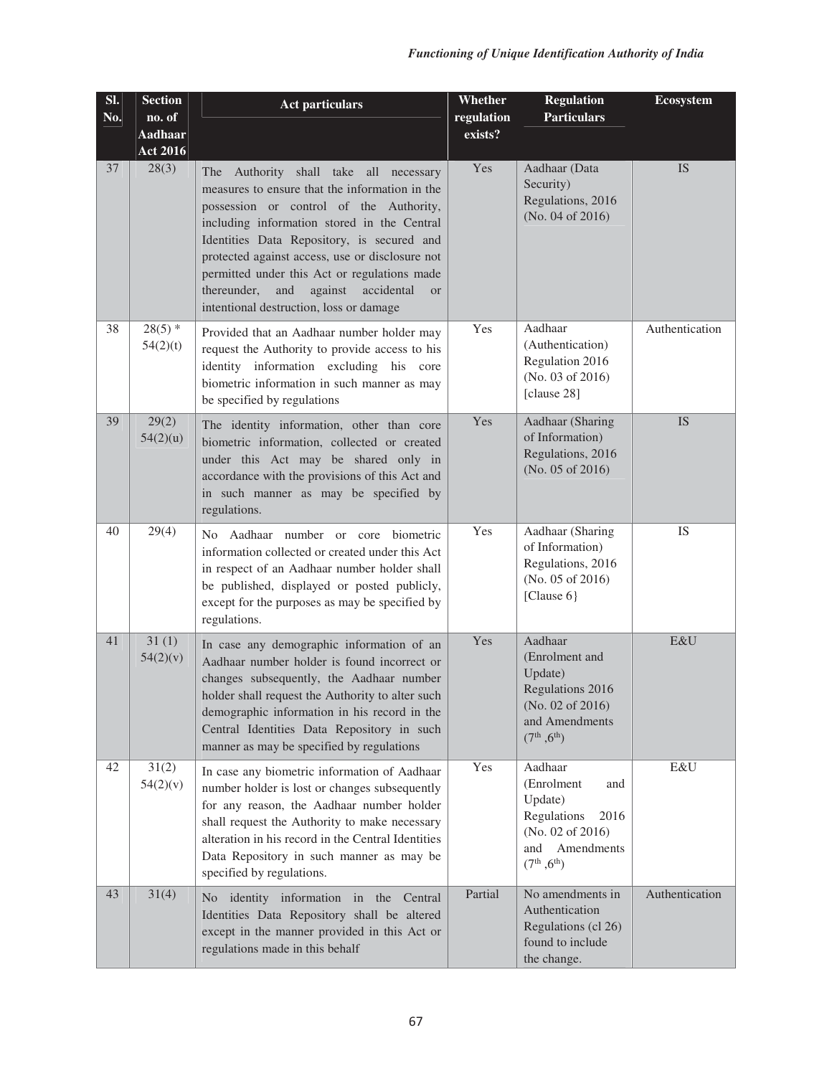| SI.<br>No. | <b>Section</b><br>no. of | <b>Act particulars</b>                                                                                                                                                                                                                                                                                                                                                                                                                         | <b>Whether</b><br>regulation | <b>Regulation</b><br><b>Particulars</b>                                                                                                | <b>Ecosystem</b> |
|------------|--------------------------|------------------------------------------------------------------------------------------------------------------------------------------------------------------------------------------------------------------------------------------------------------------------------------------------------------------------------------------------------------------------------------------------------------------------------------------------|------------------------------|----------------------------------------------------------------------------------------------------------------------------------------|------------------|
|            | Aadhaar                  |                                                                                                                                                                                                                                                                                                                                                                                                                                                | exists?                      |                                                                                                                                        |                  |
| 37         | <b>Act 2016</b><br>28(3) | The Authority shall take all necessary<br>measures to ensure that the information in the<br>possession or control of the Authority,<br>including information stored in the Central<br>Identities Data Repository, is secured and<br>protected against access, use or disclosure not<br>permitted under this Act or regulations made<br>thereunder,<br>and<br>against<br>accidental<br><sub>or</sub><br>intentional destruction, loss or damage | Yes                          | Aadhaar (Data<br>Security)<br>Regulations, 2016<br>(No. 04 of 2016)                                                                    | <b>IS</b>        |
| 38         | $28(5)$ *<br>54(2)(t)    | Provided that an Aadhaar number holder may<br>request the Authority to provide access to his<br>identity information excluding his core<br>biometric information in such manner as may<br>be specified by regulations                                                                                                                                                                                                                          | Yes                          | Aadhaar<br>(Authentication)<br>Regulation 2016<br>(No. 03 of 2016)<br>[clause 28]                                                      | Authentication   |
| 39         | 29(2)<br>54(2)(u)        | The identity information, other than core<br>biometric information, collected or created<br>under this Act may be shared only in<br>accordance with the provisions of this Act and<br>in such manner as may be specified by<br>regulations.                                                                                                                                                                                                    | Yes                          | Aadhaar (Sharing<br>of Information)<br>Regulations, 2016<br>(No. 05 of 2016)                                                           | <b>IS</b>        |
| 40         | 29(4)                    | No Aadhaar number or core biometric<br>information collected or created under this Act<br>in respect of an Aadhaar number holder shall<br>be published, displayed or posted publicly,<br>except for the purposes as may be specified by<br>regulations.                                                                                                                                                                                        | Yes                          | Aadhaar (Sharing<br>of Information)<br>Regulations, 2016<br>(No. 05 of 2016)<br>[Clause $6$ ]                                          | <b>IS</b>        |
| 41         | 31(1)<br>54(2)(v)        | In case any demographic information of an<br>Aadhaar number holder is found incorrect or<br>changes subsequently, the Aadhaar number<br>holder shall request the Authority to alter such<br>demographic information in his record in the<br>Central Identities Data Repository in such<br>manner as may be specified by regulations                                                                                                            | Yes                          | Aadhaar<br>(Enrolment and<br>Update)<br>Regulations 2016<br>(No. 02 of 2016)<br>and Amendments<br>(7 <sup>th</sup> , 6 <sup>th</sup> ) | E&U              |
| 42         | 31(2)<br>54(2)(v)        | In case any biometric information of Aadhaar<br>number holder is lost or changes subsequently<br>for any reason, the Aadhaar number holder<br>shall request the Authority to make necessary<br>alteration in his record in the Central Identities<br>Data Repository in such manner as may be<br>specified by regulations.                                                                                                                     | Yes                          | Aadhaar<br>(Enrolment<br>and<br>Update)<br>Regulations<br>2016<br>(No. 02 of 2016)<br>Amendments<br>and<br>$(7^{th}, 6^{th})$          | E&U              |
| 43         | 31(4)                    | No identity information in the Central<br>Identities Data Repository shall be altered<br>except in the manner provided in this Act or<br>regulations made in this behalf                                                                                                                                                                                                                                                                       | Partial                      | No amendments in<br>Authentication<br>Regulations (cl 26)<br>found to include<br>the change.                                           | Authentication   |